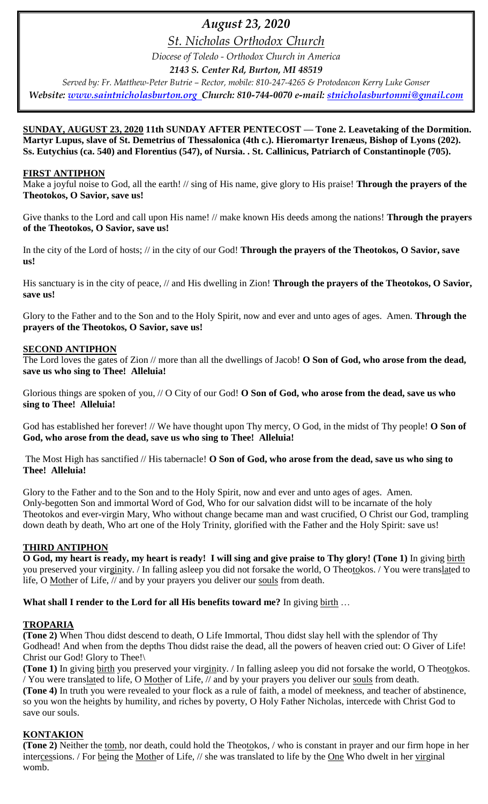# *August 23, 2020*

*St. Nicholas Orthodox Church*

*Diocese of Toledo - Orthodox Church in America 2143 S. Center Rd, Burton, MI 48519*

*Served by: Fr. Matthew-Peter Butrie – Rector, mobile: 810-247-4265 & Protodeacon Kerry Luke Gonser Website: [www.saintnicholasburton.org](http://www.saintnicholasburton.org/) Church: 810-744-0070 e-mail: [stnicholasburtonmi@gmail.com](mailto:stnicholasburtonmi@gmail.com)*

**SUNDAY, AUGUST 23, 2020 11th SUNDAY AFTER PENTECOST — Tone 2. Leavetaking of the Dormition. Martyr Lupus, slave of St. Demetrius of Thessalonica (4th c.). Hieromartyr Irenæus, Bishop of Lyons (202). Ss. Eutychius (ca. 540) and Florentius (547), of Nursia. . St. Callinicus, Patriarch of Constantinople (705).**

# **FIRST ANTIPHON**

Make a joyful noise to God, all the earth! // sing of His name, give glory to His praise! **Through the prayers of the Theotokos, O Savior, save us!**

Give thanks to the Lord and call upon His name! // make known His deeds among the nations! **Through the prayers of the Theotokos, O Savior, save us!**

In the city of the Lord of hosts; // in the city of our God! **Through the prayers of the Theotokos, O Savior, save us!**

His sanctuary is in the city of peace, // and His dwelling in Zion! **Through the prayers of the Theotokos, O Savior, save us!**

Glory to the Father and to the Son and to the Holy Spirit, now and ever and unto ages of ages. Amen. **Through the prayers of the Theotokos, O Savior, save us!**

## **SECOND ANTIPHON**

The Lord loves the gates of Zion // more than all the dwellings of Jacob! **O Son of God, who arose from the dead, save us who sing to Thee! Alleluia!**

Glorious things are spoken of you, // O City of our God! **O Son of God, who arose from the dead, save us who sing to Thee! Alleluia!**

God has established her forever! // We have thought upon Thy mercy, O God, in the midst of Thy people! **O Son of God, who arose from the dead, save us who sing to Thee! Alleluia!**

The Most High has sanctified // His tabernacle! **O Son of God, who arose from the dead, save us who sing to Thee! Alleluia!**

Glory to the Father and to the Son and to the Holy Spirit, now and ever and unto ages of ages. Amen. Only-begotten Son and immortal Word of God, Who for our salvation didst will to be incarnate of the holy Theotokos and ever-virgin Mary, Who without change became man and wast crucified, O Christ our God, trampling down death by death, Who art one of the Holy Trinity, glorified with the Father and the Holy Spirit: save us!

### **THIRD ANTIPHON**

**O God, my heart is ready, my heart is ready! I will sing and give praise to Thy glory! (Tone 1)** In giving birth you preserved your virginity. / In falling asleep you did not forsake the world, O Theotokos. / You were translated to life, O Mother of Life, // and by your prayers you deliver our souls from death.

**What shall I render to the Lord for all His benefits toward me?** In giving birth …

# **TROPARIA**

**(Tone 2)** When Thou didst descend to death, O Life Immortal, Thou didst slay hell with the splendor of Thy Godhead! And when from the depths Thou didst raise the dead, all the powers of heaven cried out: O Giver of Life! Christ our God! Glory to Thee!\

**(Tone 1)** In giving birth you preserved your virginity. / In falling asleep you did not forsake the world, O Theotokos. / You were translated to life, O Mother of Life, // and by your prayers you deliver our souls from death.

**(Tone 4)** In truth you were revealed to your flock as a rule of faith, a model of meekness, and teacher of abstinence, so you won the heights by humility, and riches by poverty, O Holy Father Nicholas, intercede with Christ God to save our souls.

# **KONTAKION**

**(Tone 2)** Neither the tomb, nor death, could hold the Theotokos, / who is constant in prayer and our firm hope in her intercessions. / For being the Mother of Life, // she was translated to life by the One Who dwelt in her virginal womb.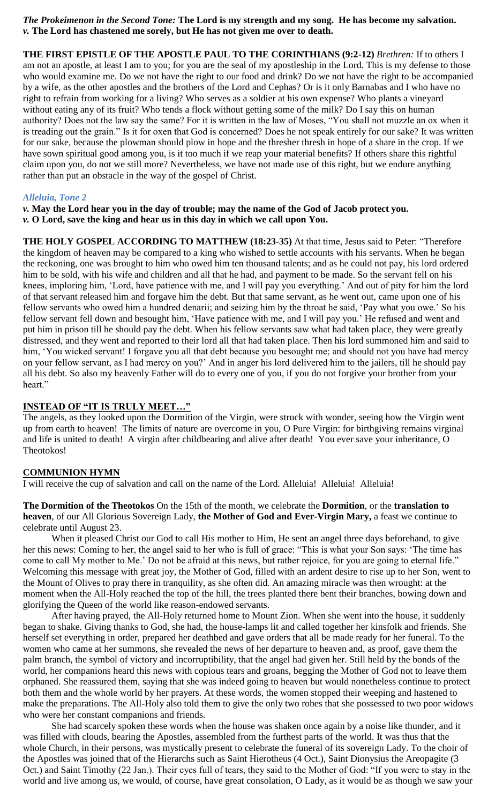*The Prokeimenon in the Second Tone:* **The Lord is my strength and my song. He has become my salvation.** *v.* **The Lord has chastened me sorely, but He has not given me over to death.**

**THE FIRST EPISTLE OF THE APOSTLE PAUL TO THE CORINTHIANS (9:2-12)** *Brethren:* If to others I am not an apostle, at least I am to you; for you are the seal of my apostleship in the Lord. This is my defense to those who would examine me. Do we not have the right to our food and drink? Do we not have the right to be accompanied by a wife, as the other apostles and the brothers of the Lord and Cephas? Or is it only Barnabas and I who have no right to refrain from working for a living? Who serves as a soldier at his own expense? Who plants a vineyard without eating any of its fruit? Who tends a flock without getting some of the milk? Do I say this on human authority? Does not the law say the same? For it is written in the law of Moses, "You shall not muzzle an ox when it is treading out the grain." Is it for oxen that God is concerned? Does he not speak entirely for our sake? It was written for our sake, because the plowman should plow in hope and the thresher thresh in hope of a share in the crop. If we have sown spiritual good among you, is it too much if we reap your material benefits? If others share this rightful claim upon you, do not we still more? Nevertheless, we have not made use of this right, but we endure anything rather than put an obstacle in the way of the gospel of Christ.

### *Alleluia, Tone 2*

*v.* **May the Lord hear you in the day of trouble; may the name of the God of Jacob protect you.** *v.* **O Lord, save the king and hear us in this day in which we call upon You.**

**THE HOLY GOSPEL ACCORDING TO MATTHEW (18:23-35)** At that time, Jesus said to Peter: "Therefore the kingdom of heaven may be compared to a king who wished to settle accounts with his servants. When he began the reckoning, one was brought to him who owed him ten thousand talents; and as he could not pay, his lord ordered him to be sold, with his wife and children and all that he had, and payment to be made. So the servant fell on his knees, imploring him, 'Lord, have patience with me, and I will pay you everything.' And out of pity for him the lord of that servant released him and forgave him the debt. But that same servant, as he went out, came upon one of his fellow servants who owed him a hundred denarii; and seizing him by the throat he said, 'Pay what you owe.' So his fellow servant fell down and besought him, 'Have patience with me, and I will pay you.' He refused and went and put him in prison till he should pay the debt. When his fellow servants saw what had taken place, they were greatly distressed, and they went and reported to their lord all that had taken place. Then his lord summoned him and said to him, 'You wicked servant! I forgave you all that debt because you besought me; and should not you have had mercy on your fellow servant, as I had mercy on you?' And in anger his lord delivered him to the jailers, till he should pay all his debt. So also my heavenly Father will do to every one of you, if you do not forgive your brother from your heart."

### **INSTEAD OF "IT IS TRULY MEET…"**

The angels, as they looked upon the Dormition of the Virgin, were struck with wonder, seeing how the Virgin went up from earth to heaven! The limits of nature are overcome in you, O Pure Virgin: for birthgiving remains virginal and life is united to death! A virgin after childbearing and alive after death! You ever save your inheritance, O Theotokos!

### **COMMUNION HYMN**

I will receive the cup of salvation and call on the name of the Lord. Alleluia! Alleluia! Alleluia!

**The Dormition of the Theotokos** On the 15th of the month, we celebrate the **Dormition**, or the **translation to heaven**, of our All Glorious Sovereign Lady, **the Mother of God and Ever-Virgin Mary,** a feast we continue to celebrate until August 23.

When it pleased Christ our God to call His mother to Him, He sent an angel three days beforehand, to give her this news: Coming to her, the angel said to her who is full of grace: "This is what your Son says: 'The time has come to call My mother to Me.' Do not be afraid at this news, but rather rejoice, for you are going to eternal life." Welcoming this message with great joy, the Mother of God, filled with an ardent desire to rise up to her Son, went to the Mount of Olives to pray there in tranquility, as she often did. An amazing miracle was then wrought: at the moment when the All-Holy reached the top of the hill, the trees planted there bent their branches, bowing down and glorifying the Queen of the world like reason-endowed servants.

After having prayed, the All-Holy returned home to Mount Zion. When she went into the house, it suddenly began to shake. Giving thanks to God, she had, the house-lamps lit and called together her kinsfolk and friends. She herself set everything in order, prepared her deathbed and gave orders that all be made ready for her funeral. To the women who came at her summons, she revealed the news of her departure to heaven and, as proof, gave them the palm branch, the symbol of victory and incorruptibility, that the angel had given her. Still held by the bonds of the world, her companions heard this news with copious tears and groans, begging the Mother of God not to leave them orphaned. She reassured them, saying that she was indeed going to heaven but would nonetheless continue to protect both them and the whole world by her prayers. At these words, the women stopped their weeping and hastened to make the preparations. The All-Holy also told them to give the only two robes that she possessed to two poor widows who were her constant companions and friends.

She had scarcely spoken these words when the house was shaken once again by a noise like thunder, and it was filled with clouds, bearing the Apostles, assembled from the furthest parts of the world. It was thus that the whole Church, in their persons, was mystically present to celebrate the funeral of its sovereign Lady. To the choir of the Apostles was joined that of the Hierarchs such as Saint Hierotheus (4 Oct.), Saint Dionysius the Areopagite (3 Oct.) and Saint Timothy (22 Jan.). Their eyes full of tears, they said to the Mother of God: "If you were to stay in the world and live among us, we would, of course, have great consolation, O Lady, as it would be as though we saw your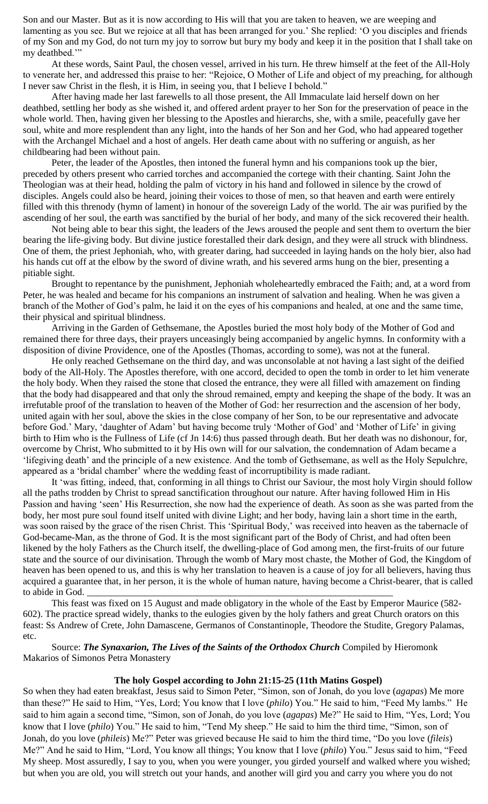Son and our Master. But as it is now according to His will that you are taken to heaven, we are weeping and lamenting as you see. But we rejoice at all that has been arranged for you.' She replied: 'O you disciples and friends of my Son and my God, do not turn my joy to sorrow but bury my body and keep it in the position that I shall take on my deathbed."

At these words, Saint Paul, the chosen vessel, arrived in his turn. He threw himself at the feet of the All-Holy to venerate her, and addressed this praise to her: "Rejoice, O Mother of Life and object of my preaching, for although I never saw Christ in the flesh, it is Him, in seeing you, that I believe I behold."

After having made her last farewells to all those present, the All Immaculate laid herself down on her deathbed, settling her body as she wished it, and offered ardent prayer to her Son for the preservation of peace in the whole world. Then, having given her blessing to the Apostles and hierarchs, she, with a smile, peacefully gave her soul, white and more resplendent than any light, into the hands of her Son and her God, who had appeared together with the Archangel Michael and a host of angels. Her death came about with no suffering or anguish, as her childbearing had been without pain.

Peter, the leader of the Apostles, then intoned the funeral hymn and his companions took up the bier, preceded by others present who carried torches and accompanied the cortege with their chanting. Saint John the Theologian was at their head, holding the palm of victory in his hand and followed in silence by the crowd of disciples. Angels could also be heard, joining their voices to those of men, so that heaven and earth were entirely filled with this threnody (hymn of lament) in honour of the sovereign Lady of the world. The air was purified by the ascending of her soul, the earth was sanctified by the burial of her body, and many of the sick recovered their health.

Not being able to bear this sight, the leaders of the Jews aroused the people and sent them to overturn the bier bearing the life-giving body. But divine justice forestalled their dark design, and they were all struck with blindness. One of them, the priest Jephoniah, who, with greater daring, had succeeded in laying hands on the holy bier, also had his hands cut off at the elbow by the sword of divine wrath, and his severed arms hung on the bier, presenting a pitiable sight.

Brought to repentance by the punishment, Jephoniah wholeheartedly embraced the Faith; and, at a word from Peter, he was healed and became for his companions an instrument of salvation and healing. When he was given a branch of the Mother of God's palm, he laid it on the eyes of his companions and healed, at one and the same time, their physical and spiritual blindness.

Arriving in the Garden of Gethsemane, the Apostles buried the most holy body of the Mother of God and remained there for three days, their prayers unceasingly being accompanied by angelic hymns. In conformity with a disposition of divine Providence, one of the Apostles (Thomas, according to some), was not at the funeral.

He only reached Gethsemane on the third day, and was unconsolable at not having a last sight of the deified body of the All-Holy. The Apostles therefore, with one accord, decided to open the tomb in order to let him venerate the holy body. When they raised the stone that closed the entrance, they were all filled with amazement on finding that the body had disappeared and that only the shroud remained, empty and keeping the shape of the body. It was an irrefutable proof of the translation to heaven of the Mother of God: her resurrection and the ascension of her body, united again with her soul, above the skies in the close company of her Son, to be our representative and advocate before God.' Mary, 'daughter of Adam' but having become truly 'Mother of God' and 'Mother of Life' in giving birth to Him who is the Fullness of Life (cf Jn 14:6) thus passed through death. But her death was no dishonour, for, overcome by Christ, Who submitted to it by His own will for our salvation, the condemnation of Adam became a 'lifegiving death' and the principle of a new existence. And the tomb of Gethsemane, as well as the Holy Sepulchre, appeared as a 'bridal chamber' where the wedding feast of incorruptibility is made radiant.

It 'was fitting, indeed, that, conforming in all things to Christ our Saviour, the most holy Virgin should follow all the paths trodden by Christ to spread sanctification throughout our nature. After having followed Him in His Passion and having 'seen' His Resurrection, she now had the experience of death. As soon as she was parted from the body, her most pure soul found itself united with divine Light; and her body, having lain a short time in the earth, was soon raised by the grace of the risen Christ. This 'Spiritual Body,' was received into heaven as the tabernacle of God-became-Man, as the throne of God. It is the most significant part of the Body of Christ, and had often been likened by the holy Fathers as the Church itself, the dwelling-place of God among men, the first-fruits of our future state and the source of our divinisation. Through the womb of Mary most chaste, the Mother of God, the Kingdom of heaven has been opened to us, and this is why her translation to heaven is a cause of joy for all believers, having thus acquired a guarantee that, in her person, it is the whole of human nature, having become a Christ-bearer, that is called to abide in God.

This feast was fixed on 15 August and made obligatory in the whole of the East by Emperor Maurice (582- 602). The practice spread widely, thanks to the eulogies given by the holy fathers and great Church orators on this feast: Ss Andrew of Crete, John Damascene, Germanos of Constantinople, Theodore the Studite, Gregory Palamas, etc.

Source: *The Synaxarion, The Lives of the Saints of the Orthodox Church* Compiled by Hieromonk Makarios of Simonos Petra Monastery

### **The holy Gospel according to John 21:15-25 (11th Matins Gospel)**

So when they had eaten breakfast, Jesus said to Simon Peter, "Simon, son of Jonah, do you love (*agapas*) Me more than these?" He said to Him, "Yes, Lord; You know that I love (*philo*) You." He said to him, "Feed My lambs." He said to him again a second time, "Simon, son of Jonah, do you love (*agapas*) Me?" He said to Him, "Yes, Lord; You know that I love (*philo*) You." He said to him, "Tend My sheep." He said to him the third time, "Simon, son of Jonah, do you love (*phileis*) Me?" Peter was grieved because He said to him the third time, "Do you love (*fileis*) Me?" And he said to Him, "Lord, You know all things; You know that I love (*philo*) You." Jesus said to him, "Feed My sheep. Most assuredly, I say to you, when you were younger, you girded yourself and walked where you wished; but when you are old, you will stretch out your hands, and another will gird you and carry you where you do not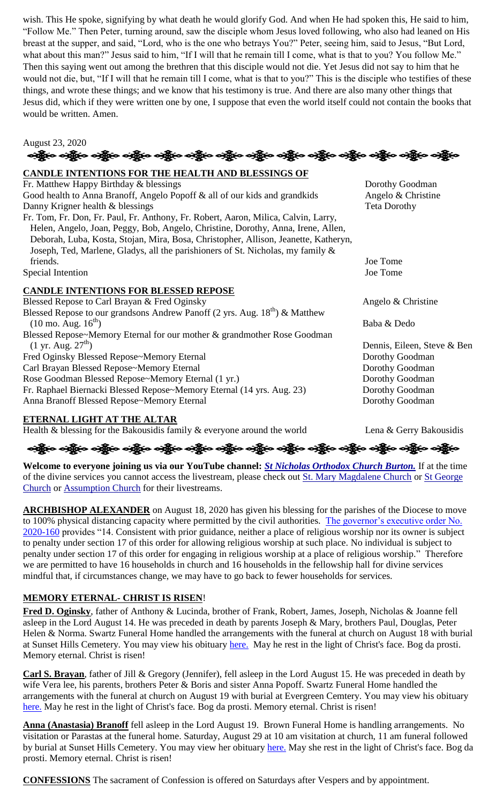wish. This He spoke, signifying by what death he would glorify God. And when He had spoken this, He said to him, "Follow Me." Then Peter, turning around, saw the disciple whom Jesus loved following, who also had leaned on His breast at the supper, and said, "Lord, who is the one who betrays You?" Peter, seeing him, said to Jesus, "But Lord, what about this man?" Jesus said to him, "If I will that he remain till I come, what is that to you? You follow Me." Then this saying went out among the brethren that this disciple would not die. Yet Jesus did not say to him that he would not die, but, "If I will that he remain till I come, what is that to you?" This is the disciple who testifies of these things, and wrote these things; and we know that his testimony is true. And there are also many other things that Jesus did, which if they were written one by one, I suppose that even the world itself could not contain the books that would be written. Amen.



# **CANDLE INTENTIONS FOR THE HEALTH AND BLESSINGS OF**

Fr. Matthew Happy Birthday & blessings The Control of the Dorothy Goodman Good health to Anna Branoff, Angelo Popoff  $\&$  all of our kids and grandkids Angelo  $\&$  Christine Danny Krigner health & blessings Teta Dorothy Fr. Tom, Fr. Don, Fr. Paul, Fr. Anthony, Fr. Robert, Aaron, Milica, Calvin, Larry, Helen, Angelo, Joan, Peggy, Bob, Angelo, Christine, Dorothy, Anna, Irene, Allen, Deborah, Luba, Kosta, Stojan, Mira, Bosa, Christopher, Allison, Jeanette, Katheryn, Joseph, Ted, Marlene, Gladys, all the parishioners of St. Nicholas, my family & friends. Joe Tome Special Intention Joe Tome

## **CANDLE INTENTIONS FOR BLESSED REPOSE**

Blessed Repose to Carl Brayan & Fred Oginsky Angelo & Christine Blessed Repose to our grandsons Andrew Panoff (2 yrs. Aug.  $18<sup>th</sup>$ ) & Matthew (10 mo. Aug.  $16^{th}$ ) Baba & Dedo Blessed Repose~Memory Eternal for our mother & grandmother Rose Goodman (1 yr. Aug.  $27<sup>th</sup>$ ) Dennis, Eileen, Steve & Ben Fred Oginsky Blessed Repose~Memory Eternal Dorothy Goodman Carl Brayan Blessed Repose~Memory Eternal Dorothy Goodman Rose Goodman Blessed Repose~Memory Eternal (1 yr.) Dorothy Goodman Fr. Raphael Biernacki Blessed Repose~Memory Eternal (14 yrs. Aug. 23) Dorothy Goodman<br>Anna Branoff Blessed Repose~Memory Eternal Dorothy Goodman Anna Branoff Blessed Repose~Memory Eternal

# **ETERNAL LIGHT AT THE ALTAR**

Health & blessing for the Bakousidis family & everyone around the world Lena & Gerry Bakousidis

းန္ပြားေပးန္ပြားေပးန္ပြားေပးန္ပြားေပးန္ပြားေပးန္ပြားေပးန္ပြားေပးန္ပြားေပးန္ပြားေပးန္ပြားေပးန္ပြားေပးန္ပြားေ

**Welcome to everyone joining us via our YouTube channel:** *[St Nicholas Orthodox Church Burton.](https://www.youtube.com/channel/UC59tV-Re443z-GCoETAUvfA)* If at the time of the divine services you cannot access the livestream, please check out [St. Mary Magdalene Church](https://www.youtube.com/channel/UClHAqZrWkXdYELujbbIslHg) or St George [Church](https://www.youtube.com/channel/UCpLWfxMIJK4uQOV41ekE6Wg/videos?view=2&flow=grid) or [Assumption Church](https://www.facebook.com/AssumptionGrandBlanc/) for their livestreams.

**ARCHBISHOP ALEXANDER** on August 18, 2020 has given his blessing for the parishes of the Diocese to move to 100% physical distancing capacity where permitted by the civil authorities. The governor's executive order No. [2020-160](https://www.michigan.gov/whitmer/0,9309,7-387-90499_90705-535195--,00.html) provides "14. Consistent with prior guidance, neither a place of religious worship nor its owner is subject to penalty under section 17 of this order for allowing religious worship at such place. No individual is subject to penalty under section 17 of this order for engaging in religious worship at a place of religious worship." Therefore we are permitted to have 16 households in church and 16 households in the fellowship hall for divine services mindful that, if circumstances change, we may have to go back to fewer households for services.

# **MEMORY ETERNAL- CHRIST IS RISEN**!

**Fred D. Oginsky**, father of Anthony & Lucinda, brother of Frank, Robert, James, Joseph, Nicholas & Joanne fell asleep in the Lord August 14. He was preceded in death by parents Joseph & Mary, brothers Paul, Douglas, Peter Helen & Norma. Swartz Funeral Home handled the arrangements with the funeral at church on August 18 with burial at Sunset Hills Cemetery. You may view his obituary [here.](https://www.swartzfuneralhomeinc.com/obituary/fred-oginsky) May he rest in the light of Christ's face. Bog da prosti. Memory eternal. Christ is risen!

**Carl S. Brayan**, father of Jill & Gregory (Jennifer), fell asleep in the Lord August 15. He was preceded in death by wife Vera lee, his parents, brothers Peter & Boris and sister Anna Popoff. Swartz Funeral Home handled the arrangements with the funeral at church on August 19 with burial at Evergreen Cemtery. You may view his obituary [here.](https://www.swartzfuneralhomeinc.com/obituary/carl-bryan) May he rest in the light of Christ's face. Bog da prosti. Memory eternal. Christ is risen!

**Anna (Anastasia) Branoff** fell asleep in the Lord August 19. Brown Funeral Home is handling arrangements. No visitation or Parastas at the funeral home. Saturday, August 29 at 10 am visitation at church, 11 am funeral followed by burial at Sunset Hills Cemetery. You may view her obituary [here.](https://www.dignitymemorial.com/obituaries/grand-blanc-mi/anna-branoff-9318382) May she rest in the light of Christ's face. Bog da prosti. Memory eternal. Christ is risen!

**CONFESSIONS** The sacrament of Confession is offered on Saturdays after Vespers and by appointment.